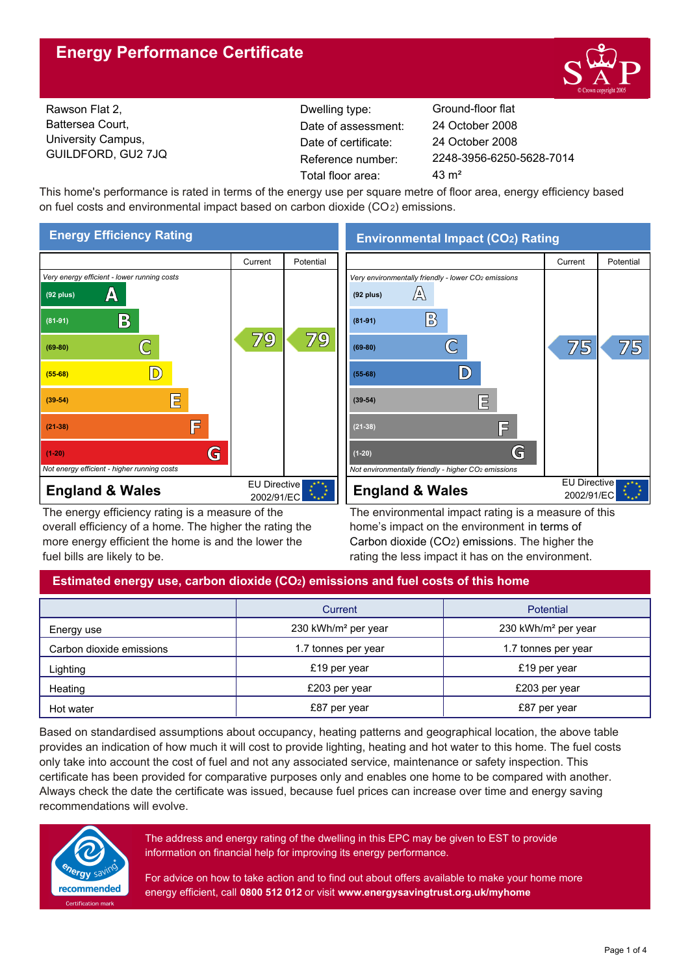# **Energy Performance Certificate**



Rawson Flat 2, Battersea Court, University Campus, GUILDFORD, GU2 7JQ

Dwelling type: Ground-floor flat Date of certificate: Total floor area: 43 m<sup>2</sup> Date of assessment:

2248-3956-6250-5628-7014 24 October 2008 24 October 2008

This home's performance is rated in terms of the energy use per square metre of floor area, energy efficiency based on fuel costs and environmental impact based on carbon dioxide (CO2) emissions.



The energy efficiency rating is a measure of the overall efficiency of a home. The higher the rating the more energy efficient the home is and the lower the fuel bills are likely to be.

**Environmental Impact (CO2) Rating**



The environmental impact rating is a measure of this home's impact on the environment in terms of Carbon dioxide (CO2) emissions. The higher the rating the less impact it has on the environment.

# **Estimated energy use, carbon dioxide (CO2) emissions and fuel costs of this home**

|                          | Current                         | Potential                       |  |
|--------------------------|---------------------------------|---------------------------------|--|
| Energy use               | 230 kWh/m <sup>2</sup> per year | 230 kWh/m <sup>2</sup> per year |  |
| Carbon dioxide emissions | 1.7 tonnes per year             | 1.7 tonnes per year             |  |
| Lighting                 | £19 per year                    | £19 per year                    |  |
| Heating                  | £203 per year                   | £203 per year                   |  |
| Hot water                | £87 per year                    | £87 per year                    |  |

Based on standardised assumptions about occupancy, heating patterns and geographical location, the above table provides an indication of how much it will cost to provide lighting, heating and hot water to this home. The fuel costs only take into account the cost of fuel and not any associated service, maintenance or safety inspection. This certificate has been provided for comparative purposes only and enables one home to be compared with another. Always check the date the certificate was issued, because fuel prices can increase over time and energy saving recommendations will evolve.



The address and energy rating of the dwelling in this EPC may be given to EST to provide information on financial help for improving its energy performance.

For advice on how to take action and to find out about offers available to make your home more energy efficient, call **0800 512 012** or visit **www.energysavingtrust.org.uk/myhome**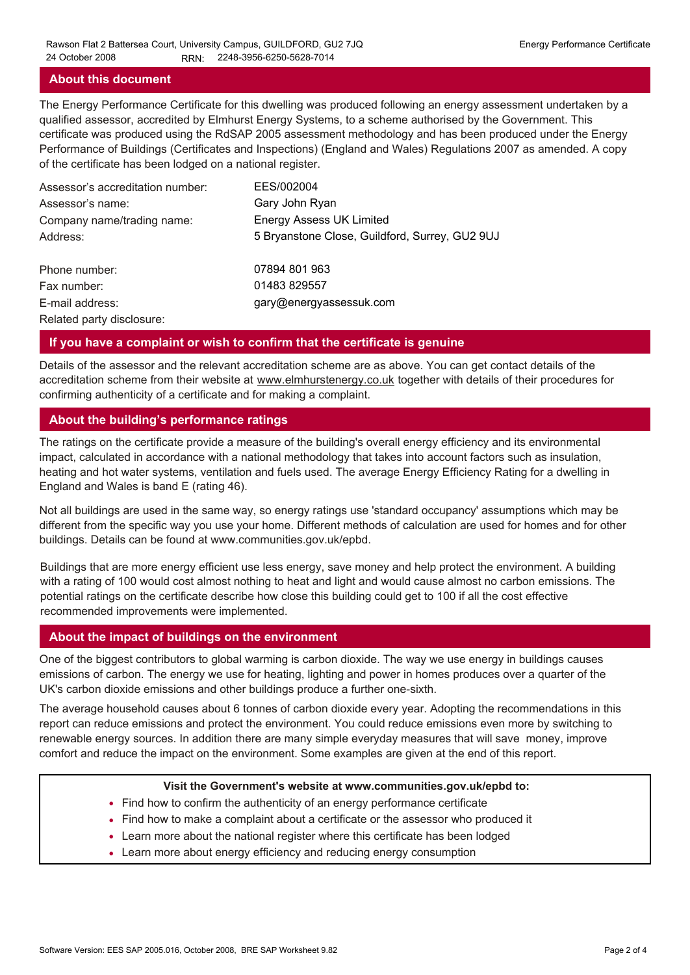#### **About this document**

The Energy Performance Certificate for this dwelling was produced following an energy assessment undertaken by a qualified assessor, accredited by Elmhurst Energy Systems, to a scheme authorised by the Government. This certificate was produced using the RdSAP 2005 assessment methodology and has been produced under the Energy Performance of Buildings (Certificates and Inspections) (England and Wales) Regulations 2007 as amended. A copy of the certificate has been lodged on a national register.

| Assessor's accreditation number: | EES/002004                                     |
|----------------------------------|------------------------------------------------|
| Assessor's name:                 | Gary John Ryan                                 |
| Company name/trading name:       | <b>Energy Assess UK Limited</b>                |
| Address:                         | 5 Bryanstone Close, Guildford, Surrey, GU2 9UJ |
| Phone number:                    | 07894 801 963                                  |
| Fax number:                      | 01483 829557                                   |
| E-mail address:                  | gary@energyassessuk.com                        |
| Related party disclosure:        |                                                |

### **If you have a complaint or wish to confirm that the certificate is genuine**

Details of the assessor and the relevant accreditation scheme are as above. You can get contact details of the accreditation scheme from their website at www.elmhurstenergy.co.uk together with details of their procedures for confirming authenticity of a certificate and for making a complaint.

### **About the building's performance ratings**

The ratings on the certificate provide a measure of the building's overall energy efficiency and its environmental impact, calculated in accordance with a national methodology that takes into account factors such as insulation, heating and hot water systems, ventilation and fuels used. The average Energy Efficiency Rating for a dwelling in England and Wales is band E (rating 46).

Not all buildings are used in the same way, so energy ratings use 'standard occupancy' assumptions which may be different from the specific way you use your home. Different methods of calculation are used for homes and for other buildings. Details can be found at www.communities.gov.uk/epbd.

Buildings that are more energy efficient use less energy, save money and help protect the environment. A building with a rating of 100 would cost almost nothing to heat and light and would cause almost no carbon emissions. The potential ratings on the certificate describe how close this building could get to 100 if all the cost effective recommended improvements were implemented.

#### **About the impact of buildings on the environment**

One of the biggest contributors to global warming is carbon dioxide. The way we use energy in buildings causes emissions of carbon. The energy we use for heating, lighting and power in homes produces over a quarter of the UK's carbon dioxide emissions and other buildings produce a further one-sixth.

The average household causes about 6 tonnes of carbon dioxide every year. Adopting the recommendations in this report can reduce emissions and protect the environment. You could reduce emissions even more by switching to renewable energy sources. In addition there are many simple everyday measures that will save money, improve comfort and reduce the impact on the environment. Some examples are given at the end of this report.

#### **Visit the Government's website at www.communities.gov.uk/epbd to:**

- Find how to confirm the authenticity of an energy performance certificate
- Find how to make a complaint about a certificate or the assessor who produced it •
- Learn more about the national register where this certificate has been lodged •
- Learn more about energy efficiency and reducing energy consumption •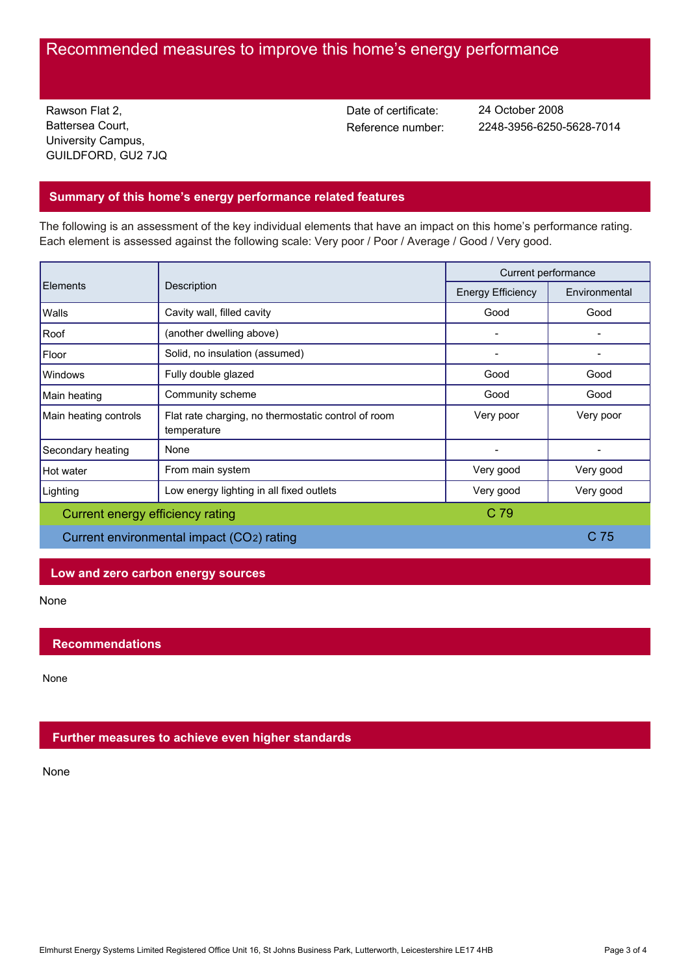# Recommended measures to improve this home's energy performance

Rawson Flat 2, Battersea Court, University Campus, GUILDFORD, GU2 7JQ Date of certificate:

Reference number: 2248-3956-6250-5628-7014 24 October 2008

# **Summary of this home's energy performance related features**

The following is an assessment of the key individual elements that have an impact on this home's performance rating. Each element is assessed against the following scale: Very poor / Poor / Average / Good / Very good.

| <b>Elements</b>                           | Description                                                        | Current performance      |               |
|-------------------------------------------|--------------------------------------------------------------------|--------------------------|---------------|
|                                           |                                                                    | <b>Energy Efficiency</b> | Environmental |
| Walls                                     | Cavity wall, filled cavity                                         | Good                     | Good          |
| Roof                                      | (another dwelling above)                                           |                          |               |
| Floor                                     | Solid, no insulation (assumed)                                     |                          |               |
| <b>Windows</b>                            | Fully double glazed                                                | Good                     | Good          |
| Main heating                              | Community scheme                                                   | Good                     | Good          |
| Main heating controls                     | Flat rate charging, no thermostatic control of room<br>temperature | Very poor                | Very poor     |
| Secondary heating                         | None                                                               |                          |               |
| Hot water                                 | From main system                                                   | Very good                | Very good     |
| Lighting                                  | Low energy lighting in all fixed outlets                           | Very good                | Very good     |
| Current energy efficiency rating          |                                                                    | C 79                     |               |
| Current environmental impact (CO2) rating |                                                                    | C <sub>75</sub>          |               |

# **Low and zero carbon energy sources**

None

# **Recommendations**

None

# **Further measures to achieve even higher standards**

None